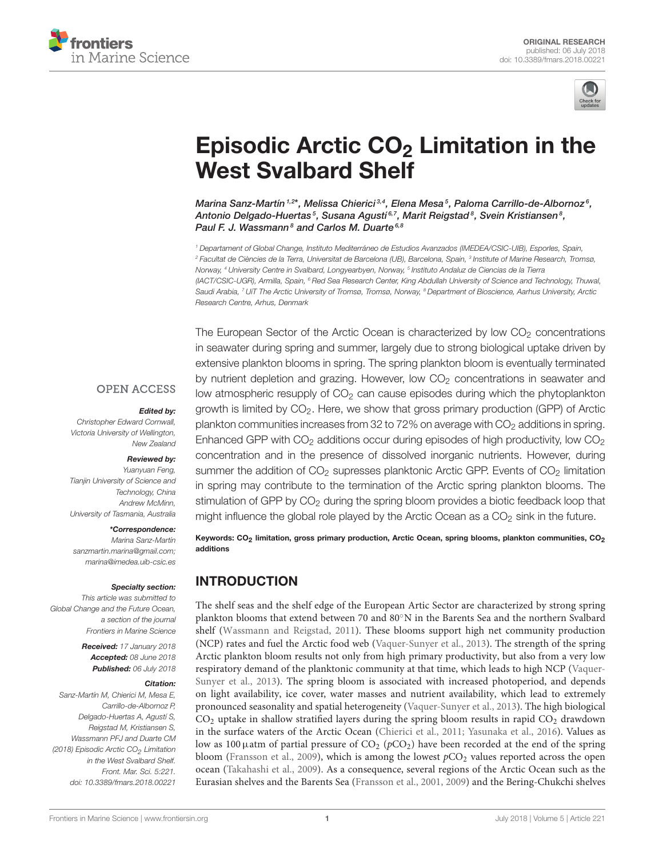



# Episodic Arctic  $CO<sub>2</sub>$  Limitation in the West Svalbard Shelf

[Marina Sanz-Martín](http://loop.frontiersin.org/people/508897/overview) <sup>1,2\*</sup>, Melissa Chierici <sup>3,4</sup>, Elena Mesa <sup>5</sup>, Paloma Carrillo-de-Albornoz <sup>6</sup>, [Antonio Delgado-Huertas](http://loop.frontiersin.org/people/88350/overview)<sup>s</sup>, [Susana Agustí](http://loop.frontiersin.org/people/137989/overview)<sup>s, ,</sup> [Marit Reigstad](http://loop.frontiersin.org/people/525148/overview)<sup>8</sup>, [Svein Kristiansen](http://loop.frontiersin.org/people/442772/overview)<sup>8</sup>, [Paul F. J. Wassmann](http://loop.frontiersin.org/people/138307/overview)<sup>8</sup> and [Carlos M. Duarte](http://loop.frontiersin.org/people/135333/overview)<sup>6,8</sup>

<sup>1</sup> Departament of Global Change, Instituto Mediterráneo de Estudios Avanzados (IMEDEA/CSIC-UIB), Esporles, Spain, <sup>2</sup> Facultat de Ciències de la Terra, Universitat de Barcelona (UB), Barcelona, Spain, <sup>3</sup> Institute of Marine Research, Tromsø, Norway, <sup>4</sup> University Centre in Svalbard, Longyearbyen, Norway, <sup>s</sup> Instituto Andaluz de Ciencias de la Tierra (IACT/CSIC-UGR), Armilla, Spain, <sup>6</sup> Red Sea Research Center, King Abdullah University of Science and Technology, Thuwal, Saudi Arabia, <sup>7</sup> UiT The Arctic University of Tromsø, Tromsø, Norway, <sup>8</sup> Department of Bioscience, Aarhus University, Arctic Research Centre, Arhus, Denmark

The European Sector of the Arctic Ocean is characterized by low  $CO<sub>2</sub>$  concentrations in seawater during spring and summer, largely due to strong biological uptake driven by extensive plankton blooms in spring. The spring plankton bloom is eventually terminated by nutrient depletion and grazing. However, low CO<sub>2</sub> concentrations in seawater and low atmospheric resupply of  $CO<sub>2</sub>$  can cause episodes during which the phytoplankton growth is limited by CO<sub>2</sub>. Here, we show that gross primary production (GPP) of Arctic plankton communities increases from 32 to 72% on average with  $CO<sub>2</sub>$  additions in spring. Enhanced GPP with  $CO<sub>2</sub>$  additions occur during episodes of high productivity, low  $CO<sub>2</sub>$ concentration and in the presence of dissolved inorganic nutrients. However, during summer the addition of  $CO<sub>2</sub>$  supresses planktonic Arctic GPP. Events of  $CO<sub>2</sub>$  limitation in spring may contribute to the termination of the Arctic spring plankton blooms. The stimulation of GPP by CO<sub>2</sub> during the spring bloom provides a biotic feedback loop that might influence the global role played by the Arctic Ocean as a  $CO<sub>2</sub>$  sink in the future.

Keywords: CO<sub>2</sub> limitation, gross primary production, Arctic Ocean, spring blooms, plankton communities, CO<sub>2</sub> additions

# INTRODUCTION

The shelf seas and the shelf edge of the European Artic Sector are characterized by strong spring plankton blooms that extend between 70 and 80◦N in the Barents Sea and the northern Svalbard shelf [\(Wassmann and Reigstad, 2011\)](#page-10-0). These blooms support high net community production (NCP) rates and fuel the Arctic food web [\(Vaquer-Sunyer et al., 2013\)](#page-10-1). The strength of the spring Arctic plankton bloom results not only from high primary productivity, but also from a very low respiratory demand of the planktonic community at that time, which leads to high NCP (Vaquer-Sunyer et al., [2013\)](#page-10-1). The spring bloom is associated with increased photoperiod, and depends on light availability, ice cover, water masses and nutrient availability, which lead to extremely pronounced seasonality and spatial heterogeneity [\(Vaquer-Sunyer et al., 2013\)](#page-10-1). The high biological  $CO<sub>2</sub>$  uptake in shallow stratified layers during the spring bloom results in rapid  $CO<sub>2</sub>$  drawdown in the surface waters of the Arctic Ocean [\(Chierici et al., 2011;](#page-8-0) [Yasunaka et al., 2016\)](#page-10-2). Values as low as 100  $\mu$ atm of partial pressure of CO<sub>2</sub> ( $pCO<sub>2</sub>$ ) have been recorded at the end of the spring bloom [\(Fransson et al., 2009\)](#page-9-0), which is among the lowest  $pCO<sub>2</sub>$  values reported across the open ocean [\(Takahashi et al., 2009\)](#page-10-3). As a consequence, several regions of the Arctic Ocean such as the Eurasian shelves and the Barents Sea [\(Fransson et al., 2001,](#page-9-1) [2009\)](#page-9-0) and the Bering-Chukchi shelves

### **OPEN ACCESS**

#### Edited by:

Christopher Edward Cornwall, Victoria University of Wellington, New Zealand

### Reviewed by:

Yuanyuan Feng, Tianjin University of Science and Technology, China Andrew McMinn, University of Tasmania, Australia

#### \*Correspondence:

Marina Sanz-Martín [sanzmartin.marina@gmail.com;](mailto:sanzmartin.marina@gmail.com) [marina@imedea.uib-csic.es](mailto:marina@imedea.uib-csic.es)

#### Specialty section:

This article was submitted to Global Change and the Future Ocean, a section of the journal Frontiers in Marine Science

> Received: 17 January 2018 Accepted: 08 June 2018 Published: 06 July 2018

#### Citation:

Sanz-Martín M, Chierici M, Mesa E, Carrillo-de-Albornoz P, Delgado-Huertas A, Agustí S, Reigstad M, Kristiansen S, Wassmann PFJ and Duarte CM (2018) Episodic Arctic CO<sub>2</sub> Limitation in the West Svalbard Shelf. Front. Mar. Sci. 5:221. doi: [10.3389/fmars.2018.00221](https://doi.org/10.3389/fmars.2018.00221)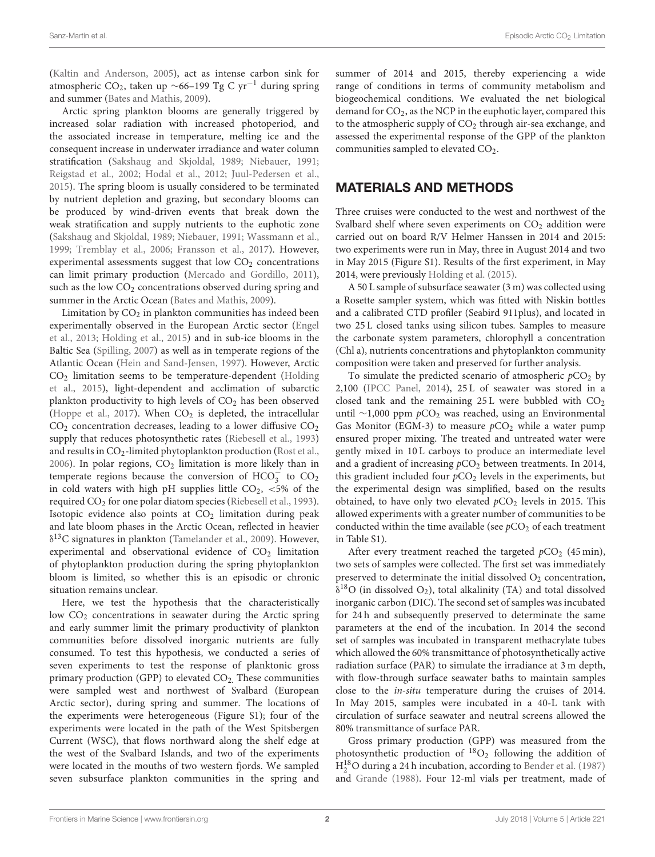[\(Kaltin and Anderson, 2005\)](#page-9-2), act as intense carbon sink for atmospheric CO<sub>2</sub>, taken up ~66–199 Tg C yr<sup>-1</sup> during spring and summer [\(Bates and Mathis, 2009\)](#page-8-1).

Arctic spring plankton blooms are generally triggered by increased solar radiation with increased photoperiod, and the associated increase in temperature, melting ice and the consequent increase in underwater irradiance and water column stratification [\(Sakshaug and Skjoldal, 1989;](#page-10-4) [Niebauer, 1991;](#page-9-3) [Reigstad et al., 2002;](#page-9-4) [Hodal et al., 2012;](#page-9-5) [Juul-Pedersen et al.,](#page-9-6) [2015\)](#page-9-6). The spring bloom is usually considered to be terminated by nutrient depletion and grazing, but secondary blooms can be produced by wind-driven events that break down the weak stratification and supply nutrients to the euphotic zone [\(Sakshaug and Skjoldal, 1989;](#page-10-4) [Niebauer, 1991;](#page-9-3) [Wassmann et al.,](#page-10-5) [1999;](#page-10-5) [Tremblay et al., 2006;](#page-10-6) [Fransson et al., 2017\)](#page-9-7). However, experimental assessments suggest that low  $CO<sub>2</sub>$  concentrations can limit primary production [\(Mercado and Gordillo, 2011\)](#page-9-8), such as the low  $CO<sub>2</sub>$  concentrations observed during spring and summer in the Arctic Ocean [\(Bates and Mathis, 2009\)](#page-8-1).

Limitation by  $CO<sub>2</sub>$  in plankton communities has indeed been experimentally observed in the European Arctic sector (Engel et al., [2013;](#page-9-9) [Holding et al., 2015\)](#page-9-10) and in sub-ice blooms in the Baltic Sea [\(Spilling, 2007\)](#page-10-7) as well as in temperate regions of the Atlantic Ocean [\(Hein and Sand-Jensen, 1997\)](#page-9-11). However, Arctic  $CO<sub>2</sub>$  limitation seems to be temperature-dependent (Holding et al., [2015\)](#page-9-10), light-dependent and acclimation of subarctic plankton productivity to high levels of  $CO<sub>2</sub>$  has been observed [\(Hoppe et al., 2017\)](#page-9-12). When  $CO<sub>2</sub>$  is depleted, the intracellular  $CO<sub>2</sub>$  concentration decreases, leading to a lower diffusive  $CO<sub>2</sub>$ supply that reduces photosynthetic rates [\(Riebesell et al., 1993\)](#page-10-8) and results in CO<sub>2</sub>-limited phytoplankton production [\(Rost et al.,](#page-10-9) [2006\)](#page-10-9). In polar regions,  $CO<sub>2</sub>$  limitation is more likely than in temperate regions because the conversion of  $HCO_3^-$  to  $CO_2$ in cold waters with high pH supplies little  $CO<sub>2</sub>$ , <5% of the required  $CO<sub>2</sub>$  for one polar diatom species [\(Riebesell et al., 1993\)](#page-10-8). Isotopic evidence also points at  $CO<sub>2</sub>$  limitation during peak and late bloom phases in the Arctic Ocean, reflected in heavier  $\delta^{13}$ C signatures in plankton [\(Tamelander et al., 2009\)](#page-10-10). However, experimental and observational evidence of  $CO<sub>2</sub>$  limitation of phytoplankton production during the spring phytoplankton bloom is limited, so whether this is an episodic or chronic situation remains unclear.

Here, we test the hypothesis that the characteristically low CO<sub>2</sub> concentrations in seawater during the Arctic spring and early summer limit the primary productivity of plankton communities before dissolved inorganic nutrients are fully consumed. To test this hypothesis, we conducted a series of seven experiments to test the response of planktonic gross primary production (GPP) to elevated CO<sub>2</sub>. These communities were sampled west and northwest of Svalbard (European Arctic sector), during spring and summer. The locations of the experiments were heterogeneous (Figure S1); four of the experiments were located in the path of the West Spitsbergen Current (WSC), that flows northward along the shelf edge at the west of the Svalbard Islands, and two of the experiments were located in the mouths of two western fjords. We sampled seven subsurface plankton communities in the spring and summer of 2014 and 2015, thereby experiencing a wide range of conditions in terms of community metabolism and biogeochemical conditions. We evaluated the net biological demand for  $CO<sub>2</sub>$ , as the NCP in the euphotic layer, compared this to the atmospheric supply of  $CO<sub>2</sub>$  through air-sea exchange, and assessed the experimental response of the GPP of the plankton communities sampled to elevated CO<sub>2</sub>.

### MATERIALS AND METHODS

Three cruises were conducted to the west and northwest of the Svalbard shelf where seven experiments on  $CO<sub>2</sub>$  addition were carried out on board R/V Helmer Hanssen in 2014 and 2015: two experiments were run in May, three in August 2014 and two in May 2015 (Figure S1). Results of the first experiment, in May 2014, were previously [Holding et al. \(2015\)](#page-9-10).

A 50 L sample of subsurface seawater (3 m) was collected using a Rosette sampler system, which was fitted with Niskin bottles and a calibrated CTD profiler (Seabird 911plus), and located in two 25 L closed tanks using silicon tubes. Samples to measure the carbonate system parameters, chlorophyll a concentration (Chl a), nutrients concentrations and phytoplankton community composition were taken and preserved for further analysis.

To simulate the predicted scenario of atmospheric  $pCO<sub>2</sub>$  by 2,100 [\(IPCC Panel, 2014\)](#page-9-13), 25 L of seawater was stored in a closed tank and the remaining  $25 L$  were bubbled with  $CO<sub>2</sub>$ until ∼1,000 ppm pCO<sub>2</sub> was reached, using an Environmental Gas Monitor (EGM-3) to measure  $pCO<sub>2</sub>$  while a water pump ensured proper mixing. The treated and untreated water were gently mixed in 10 L carboys to produce an intermediate level and a gradient of increasing  $pCO<sub>2</sub>$  between treatments. In 2014, this gradient included four  $pCO<sub>2</sub>$  levels in the experiments, but the experimental design was simplified, based on the results obtained, to have only two elevated  $pCO<sub>2</sub>$  levels in 2015. This allowed experiments with a greater number of communities to be conducted within the time available (see  $pCO<sub>2</sub>$  of each treatment in Table S1).

After every treatment reached the targeted  $pCO<sub>2</sub>$  (45 min), two sets of samples were collected. The first set was immediately preserved to determinate the initial dissolved  $O_2$  concentration,  $\delta^{18}$ O (in dissolved O<sub>2</sub>), total alkalinity (TA) and total dissolved inorganic carbon (DIC). The second set of samples was incubated for 24 h and subsequently preserved to determinate the same parameters at the end of the incubation. In 2014 the second set of samples was incubated in transparent methacrylate tubes which allowed the 60% transmittance of photosynthetically active radiation surface (PAR) to simulate the irradiance at 3 m depth, with flow-through surface seawater baths to maintain samples close to the in-situ temperature during the cruises of 2014. In May 2015, samples were incubated in a 40-L tank with circulation of surface seawater and neutral screens allowed the 80% transmittance of surface PAR.

Gross primary production (GPP) was measured from the photosynthetic production of  ${}^{18}O_2$  following the addition of  $\mathrm{H}_2^{18}\mathrm{O}$  during a 24 h incubation, according to [Bender et al. \(1987\)](#page-8-2) and [Grande \(1988\)](#page-9-14). Four 12-ml vials per treatment, made of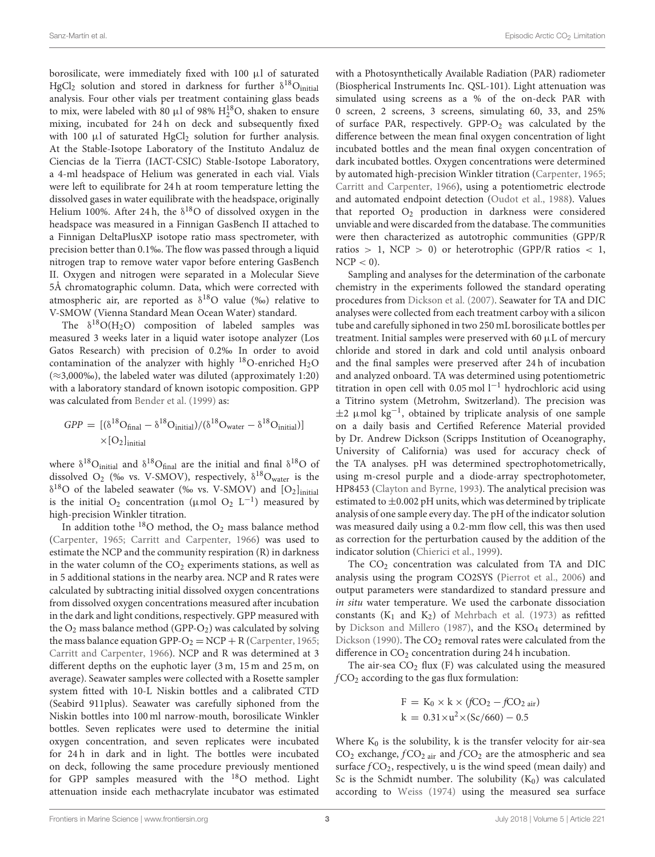borosilicate, were immediately fixed with 100 µl of saturated HgCl<sub>2</sub> solution and stored in darkness for further  $\delta^{18}O_{initial}$ analysis. Four other vials per treatment containing glass beads to mix, were labeled with 80  $\mu$ l of 98%  $\mathrm{H}_2^{18}\mathrm{O}$ , shaken to ensure mixing, incubated for 24 h on deck and subsequently fixed with 100  $\mu$ l of saturated HgCl<sub>2</sub> solution for further analysis. At the Stable-Isotope Laboratory of the Instituto Andaluz de Ciencias de la Tierra (IACT-CSIC) Stable-Isotope Laboratory, a 4-ml headspace of Helium was generated in each vial. Vials were left to equilibrate for 24 h at room temperature letting the dissolved gases in water equilibrate with the headspace, originally Helium 100%. After 24h, the  $\delta^{18}O$  of dissolved oxygen in the headspace was measured in a Finnigan GasBench II attached to a Finnigan DeltaPlusXP isotope ratio mass spectrometer, with precision better than 0.1‰. The flow was passed through a liquid nitrogen trap to remove water vapor before entering GasBench II. Oxygen and nitrogen were separated in a Molecular Sieve 5Å chromatographic column. Data, which were corrected with atmospheric air, are reported as  $\delta^{18}O$  value (%0) relative to V-SMOW (Vienna Standard Mean Ocean Water) standard.

The  $\delta^{18}O(H_2O)$  composition of labeled samples was measured 3 weeks later in a liquid water isotope analyzer (Los Gatos Research) with precision of 0.2‰ In order to avoid contamination of the analyzer with highly  $^{18}$ O-enriched H<sub>2</sub>O  $(\approx 3,000\%)$ , the labeled water was diluted (approximately 1:20) with a laboratory standard of known isotopic composition. GPP was calculated from [Bender et al. \(1999\)](#page-8-3) as:

$$
GPP = [(\delta^{18}O_{\text{final}} - \delta^{18}O_{\text{initial}})/(\delta^{18}O_{\text{water}} - \delta^{18}O_{\text{initial}})]
$$
  
×[O<sub>2</sub>]<sub>initial</sub>

where  $\delta^{18}O_{initial}$  and  $\delta^{18}O_{final}$  are the initial and final  $\delta^{18}O$  of dissolved  $O_2$  (‰ vs. V-SMOV), respectively,  $\delta^{18}O_{water}$  is the  $\delta^{18}$ O of the labeled seawater (‰ vs. V-SMOV) and [O2]<sub>initial</sub> is the initial  $O_2$  concentration ( $\mu$ mol  $O_2$  L<sup>-1</sup>) measured by high-precision Winkler titration.

In addition tothe  $18$ O method, the O<sub>2</sub> mass balance method [\(Carpenter, 1965;](#page-8-4) [Carritt and Carpenter, 1966\)](#page-8-5) was used to estimate the NCP and the community respiration (R) in darkness in the water column of the  $CO<sub>2</sub>$  experiments stations, as well as in 5 additional stations in the nearby area. NCP and R rates were calculated by subtracting initial dissolved oxygen concentrations from dissolved oxygen concentrations measured after incubation in the dark and light conditions, respectively. GPP measured with the  $O_2$  mass balance method (GPP- $O_2$ ) was calculated by solving the mass balance equation GPP- $O_2$  = NCP + R [\(Carpenter, 1965;](#page-8-4) [Carritt and Carpenter, 1966\)](#page-8-5). NCP and R was determined at 3 different depths on the euphotic layer (3 m, 15 m and 25 m, on average). Seawater samples were collected with a Rosette sampler system fitted with 10-L Niskin bottles and a calibrated CTD (Seabird 911plus). Seawater was carefully siphoned from the Niskin bottles into 100 ml narrow-mouth, borosilicate Winkler bottles. Seven replicates were used to determine the initial oxygen concentration, and seven replicates were incubated for 24 h in dark and in light. The bottles were incubated on deck, following the same procedure previously mentioned for GPP samples measured with the  $^{18}$ O method. Light attenuation inside each methacrylate incubator was estimated with a Photosynthetically Available Radiation (PAR) radiometer (Biospherical Instruments Inc. QSL-101). Light attenuation was simulated using screens as a % of the on-deck PAR with 0 screen, 2 screens, 3 screens, simulating 60, 33, and 25% of surface PAR, respectively.  $GPP-O<sub>2</sub>$  was calculated by the difference between the mean final oxygen concentration of light incubated bottles and the mean final oxygen concentration of dark incubated bottles. Oxygen concentrations were determined by automated high-precision Winkler titration [\(Carpenter, 1965;](#page-8-4) [Carritt and Carpenter, 1966\)](#page-8-5), using a potentiometric electrode and automated endpoint detection [\(Oudot et al., 1988\)](#page-9-15). Values that reported  $O_2$  production in darkness were considered unviable and were discarded from the database. The communities were then characterized as autotrophic communities (GPP/R ratios > 1, NCP > 0) or heterotrophic (GPP/R ratios  $< 1$ ,  $NCP < 0$ ).

Sampling and analyses for the determination of the carbonate chemistry in the experiments followed the standard operating procedures from [Dickson et al. \(2007\)](#page-9-16). Seawater for TA and DIC analyses were collected from each treatment carboy with a silicon tube and carefully siphoned in two 250 mL borosilicate bottles per treatment. Initial samples were preserved with 60 µL of mercury chloride and stored in dark and cold until analysis onboard and the final samples were preserved after 24 h of incubation and analyzed onboard. TA was determined using potentiometric titration in open cell with 0.05 mol  $l^{-1}$  hydrochloric acid using a Titrino system (Metrohm, Switzerland). The precision was ±2 µmol kg−<sup>1</sup> , obtained by triplicate analysis of one sample on a daily basis and Certified Reference Material provided by Dr. Andrew Dickson (Scripps Institution of Oceanography, University of California) was used for accuracy check of the TA analyses. pH was determined spectrophotometrically, using m-cresol purple and a diode-array spectrophotometer, HP8453 [\(Clayton and Byrne, 1993\)](#page-9-17). The analytical precision was estimated to  $\pm 0.002$  pH units, which was determined by triplicate analysis of one sample every day. The pH of the indicator solution was measured daily using a 0.2-mm flow cell, this was then used as correction for the perturbation caused by the addition of the indicator solution [\(Chierici et al., 1999\)](#page-8-6).

The CO<sub>2</sub> concentration was calculated from TA and DIC analysis using the program CO2SYS [\(Pierrot et al., 2006\)](#page-9-18) and output parameters were standardized to standard pressure and in situ water temperature. We used the carbonate dissociation constants ( $K_1$  and  $K_2$ ) of [Mehrbach et al. \(1973\)](#page-9-19) as refitted by [Dickson and Millero \(1987\)](#page-9-20), and the  $KSO<sub>4</sub>$  determined by [Dickson \(1990\)](#page-9-21). The  $CO<sub>2</sub>$  removal rates were calculated from the difference in CO<sub>2</sub> concentration during 24 h incubation.

The air-sea  $CO<sub>2</sub>$  flux (F) was calculated using the measured  $fCO<sub>2</sub>$  according to the gas flux formulation:

$$
F = K_0 \times k \times (fCO_2 - fCO_{2 \text{ air}})
$$
  

$$
k = 0.31 \times u^2 \times (Sc/660) - 0.5
$$

Where  $K_0$  is the solubility, k is the transfer velocity for air-sea  $CO<sub>2</sub>$  exchange,  $fCO<sub>2</sub>$  air and  $fCO<sub>2</sub>$  are the atmospheric and sea surface  $fCO<sub>2</sub>$ , respectively, u is the wind speed (mean daily) and Sc is the Schmidt number. The solubility  $(K_0)$  was calculated according to [Weiss \(1974\)](#page-10-11) using the measured sea surface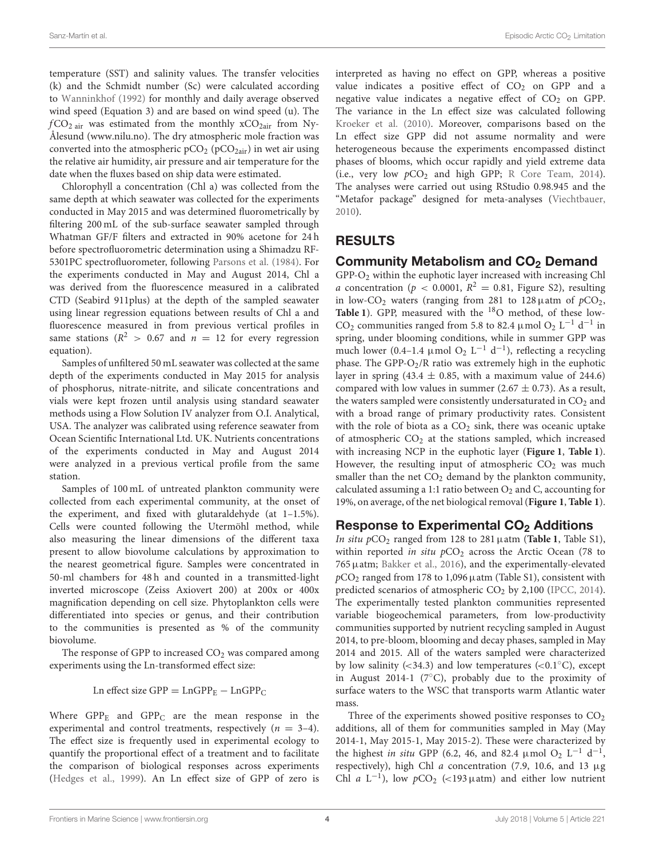temperature (SST) and salinity values. The transfer velocities (k) and the Schmidt number (Sc) were calculated according to [Wanninkhof \(1992\)](#page-10-12) for monthly and daily average observed wind speed (Equation 3) and are based on wind speed (u). The  $fCO<sub>2 air</sub>$  was estimated from the monthly  $xCO<sub>2air</sub>$  from Ny-Ålesund [\(www.nilu.no\)](www.nilu.no). The dry atmospheric mole fraction was converted into the atmospheric  $pCO_2$  ( $pCO_{2air}$ ) in wet air using the relative air humidity, air pressure and air temperature for the date when the fluxes based on ship data were estimated.

Chlorophyll a concentration (Chl a) was collected from the same depth at which seawater was collected for the experiments conducted in May 2015 and was determined fluorometrically by filtering 200 mL of the sub-surface seawater sampled through Whatman GF/F filters and extracted in 90% acetone for 24 h before spectrofluorometric determination using a Shimadzu RF-5301PC spectrofluorometer, following [Parsons et al. \(1984\)](#page-9-22). For the experiments conducted in May and August 2014, Chl a was derived from the fluorescence measured in a calibrated CTD (Seabird 911plus) at the depth of the sampled seawater using linear regression equations between results of Chl a and fluorescence measured in from previous vertical profiles in same stations ( $R^2 > 0.67$  and  $n = 12$  for every regression equation).

Samples of unfiltered 50 mL seawater was collected at the same depth of the experiments conducted in May 2015 for analysis of phosphorus, nitrate-nitrite, and silicate concentrations and vials were kept frozen until analysis using standard seawater methods using a Flow Solution IV analyzer from O.I. Analytical, USA. The analyzer was calibrated using reference seawater from Ocean Scientific International Ltd. UK. Nutrients concentrations of the experiments conducted in May and August 2014 were analyzed in a previous vertical profile from the same station.

Samples of 100 mL of untreated plankton community were collected from each experimental community, at the onset of the experiment, and fixed with glutaraldehyde (at 1–1.5%). Cells were counted following the Utermöhl method, while also measuring the linear dimensions of the different taxa present to allow biovolume calculations by approximation to the nearest geometrical figure. Samples were concentrated in 50-ml chambers for 48 h and counted in a transmitted-light inverted microscope (Zeiss Axiovert 200) at 200x or 400x magnification depending on cell size. Phytoplankton cells were differentiated into species or genus, and their contribution to the communities is presented as % of the community biovolume.

The response of GPP to increased  $CO<sub>2</sub>$  was compared among experiments using the Ln-transformed effect size:

Ln effect size  $GPP = LnGPP_E - LnGPP_C$ 

Where  $GPP_E$  and  $GPP_C$  are the mean response in the experimental and control treatments, respectively  $(n = 3-4)$ . The effect size is frequently used in experimental ecology to quantify the proportional effect of a treatment and to facilitate the comparison of biological responses across experiments [\(Hedges et al., 1999\)](#page-9-23). An Ln effect size of GPP of zero is interpreted as having no effect on GPP, whereas a positive value indicates a positive effect of  $CO<sub>2</sub>$  on GPP and a negative value indicates a negative effect of  $CO<sub>2</sub>$  on GPP. The variance in the Ln effect size was calculated following [Kroeker et al. \(2010\)](#page-9-24). Moreover, comparisons based on the Ln effect size GPP did not assume normality and were heterogeneous because the experiments encompassed distinct phases of blooms, which occur rapidly and yield extreme data (i.e., very low  $pCO<sub>2</sub>$  and high GPP; [R Core Team, 2014\)](#page-9-25). The analyses were carried out using RStudio 0.98.945 and the "Metafor package" designed for meta-analyses [\(Viechtbauer,](#page-10-13) [2010\)](#page-10-13).

# RESULTS

# Community Metabolism and CO<sub>2</sub> Demand

GPP-O<sup>2</sup> within the euphotic layer increased with increasing Chl *a* concentration ( $p < 0.0001$ ,  $R^2 = 0.81$ , Figure S2), resulting in low-CO<sub>2</sub> waters (ranging from 281 to 128  $\mu$ atm of  $pCO<sub>2</sub>$ , [Table 1](#page-4-0)). GPP, measured with the <sup>18</sup>O method, of these low-CO<sub>2</sub> communities ranged from 5.8 to 82.4 µmol O<sub>2</sub> L<sup>-1</sup> d<sup>-1</sup> in spring, under blooming conditions, while in summer GPP was much lower (0.4–1.4 µmol O<sub>2</sub> L<sup>-1</sup> d<sup>-1</sup>), reflecting a recycling phase. The GPP- $O_2/R$  ratio was extremely high in the euphotic layer in spring (43.4  $\pm$  0.85, with a maximum value of 244.6) compared with low values in summer  $(2.67 \pm 0.73)$ . As a result, the waters sampled were consistently undersaturated in  $CO<sub>2</sub>$  and with a broad range of primary productivity rates. Consistent with the role of biota as a  $CO<sub>2</sub>$  sink, there was oceanic uptake of atmospheric  $CO<sub>2</sub>$  at the stations sampled, which increased with increasing NCP in the euphotic layer (**[Figure 1](#page-5-0)**, **[Table 1](#page-4-0)**). However, the resulting input of atmospheric  $CO<sub>2</sub>$  was much smaller than the net  $CO<sub>2</sub>$  demand by the plankton community, calculated assuming a 1:1 ratio between  $O_2$  and C, accounting for 19%, on average, of the net biological removal (**[Figure 1](#page-5-0)**, **[Table 1](#page-4-0)**).

# Response to Experimental  $CO<sub>2</sub>$  Additions

In situ  $pCO_2$  ranged from 128 to 281  $\mu$ atm (**[Table 1](#page-4-0)**, Table S1), within reported in situ  $pCO<sub>2</sub>$  across the Arctic Ocean (78 to 765µatm; [Bakker et al., 2016\)](#page-8-7), and the experimentally-elevated  $pCO<sub>2</sub>$  ranged from 178 to 1,096  $\mu$ atm (Table S1), consistent with predicted scenarios of atmospheric  $CO<sub>2</sub>$  by 2,100 [\(IPCC, 2014\)](#page-9-26). The experimentally tested plankton communities represented variable biogeochemical parameters, from low-productivity communities supported by nutrient recycling sampled in August 2014, to pre-bloom, blooming and decay phases, sampled in May 2014 and 2015. All of the waters sampled were characterized by low salinity  $\left( < 34.3 \right)$  and low temperatures  $\left( < 0.1\degree\text{C} \right)$ , except in August 2014-1 ( $7^\circ$ C), probably due to the proximity of surface waters to the WSC that transports warm Atlantic water mass.

Three of the experiments showed positive responses to  $CO<sub>2</sub>$ additions, all of them for communities sampled in May (May 2014-1, May 2015-1, May 2015-2). These were characterized by the highest in situ GPP (6.2, 46, and 82.4 µmol O<sub>2</sub> L<sup>-1</sup> d<sup>-1</sup>, respectively), high Chl  $a$  concentration (7.9, 10.6, and 13  $\mu$ g Chl a  $L^{-1}$ ), low  $pCO_2$  (<193 µatm) and either low nutrient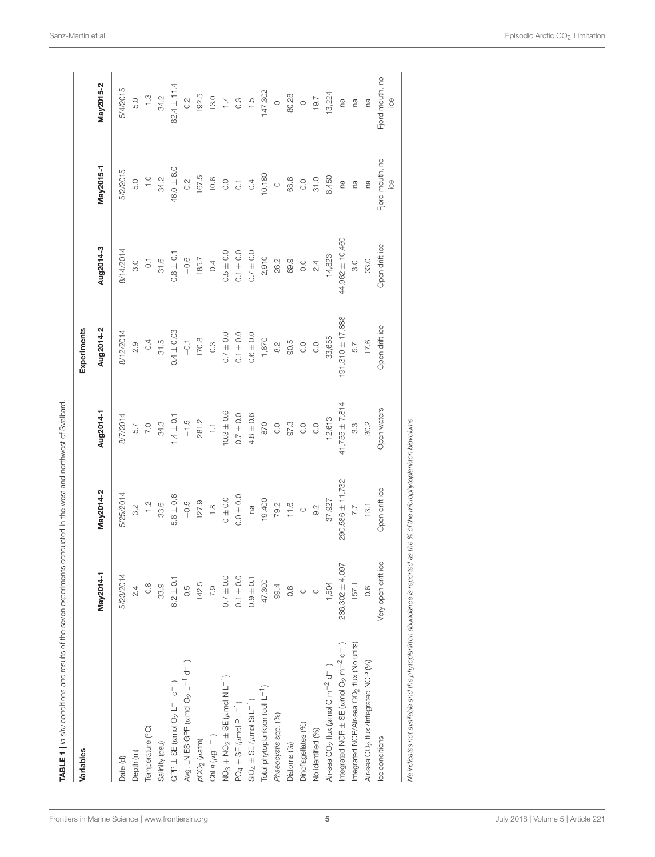| Variables                                                                            |                     |                        |                                                                       | Experiments                                                |                     |                                             |                                                              |
|--------------------------------------------------------------------------------------|---------------------|------------------------|-----------------------------------------------------------------------|------------------------------------------------------------|---------------------|---------------------------------------------|--------------------------------------------------------------|
|                                                                                      | May2014-1           | May2014-2              | Aug2014-1                                                             | Aug2014-2                                                  | Aug2014-3           | May2015-1                                   | May2015-2                                                    |
| Date (d)                                                                             | 5/23/2014           | 5/25/2014              |                                                                       | $8/12/2014$<br>2.9<br>-0.4<br>31.5                         | 8/14/2014           | 5/2/2015                                    | 5/4/2015                                                     |
| Depth (m)                                                                            | 2.4                 | $\frac{3}{2}$          | $8/7/2014$<br>5.7<br>7.0<br>7.4 ± 0.1<br>-1.5<br>-1.5<br>7.11<br>7.11 |                                                            | 3.0                 | 5.0                                         | 5.0                                                          |
| Temperature (°C)                                                                     | $-0.8$              | $-1.2$                 |                                                                       |                                                            |                     |                                             |                                                              |
| Salinity (psu)                                                                       | 33.9                | 33.6                   |                                                                       |                                                            | $-0.1$<br>31.6      | $-1.0$<br>34.2                              | $-13$<br>34.2                                                |
| GPP $\pm$ SE ( $\mu$ mol O <sub>2</sub> L <sup>-1</sup> d <sup>-1</sup> )            | $6.2 \pm 0.1$       | $5.8 \pm 0.6$          |                                                                       |                                                            | $0.8 \pm 0.1$       | $46.0 \pm 6.0$                              | $82.4 \pm 11.4$                                              |
| Avg. LN ES GPP ( $\mu$ mol O <sub>2</sub> L <sup>-1</sup> d <sup>-1</sup> )          | 0.5                 | $-0.5$                 |                                                                       | $0.4 \pm 0.03$<br>$-0.1$<br>170.8<br>0.3                   | $-0.6$              | 0.2                                         |                                                              |
| $\rho$ CO <sub>2</sub> ( $\mu$ atm)                                                  | 142.5               | 127.9                  |                                                                       |                                                            | 185.7               |                                             |                                                              |
| Chi a $(\mu g L^{-1})$                                                               | 7.9                 | $\frac{8}{1}$          |                                                                       |                                                            | 0.4                 | $167.5$<br>10.6                             |                                                              |
| $NO3 + NO2 \pm SE (µmol N L-1)$                                                      | $0.7 \pm 0.0$       | $0\pm0.0$              | $10.3 + 0.6$                                                          |                                                            | $0.5 \pm 0.0$       |                                             |                                                              |
| $PO4 \pm SE(\mu mol PL^{-1})$                                                        | $0.1 \pm 0.0$       | $0.0 + 0.0$            |                                                                       |                                                            | $0.1 \pm 0.0$       |                                             |                                                              |
| $SiO_4 \pm SE$ ( $\mu$ mol $Si L^{-1}$ )                                             | $0.9 \pm 0.1$       | na                     | $0.7 \pm 0.0$<br>4.8 ± 0.6                                            |                                                            | $0.7 \pm 0.0$       | 0.74                                        |                                                              |
| Total phytoplankton (cell L <sup>-1</sup> )                                          | 47,300              | 19,400                 | 870                                                                   | $0.7 \pm 0.0$<br>$0.1 \pm 0.0$<br>$0.6 \pm 0.0$<br>$1,870$ | 2,910               | 10,180                                      | 0.2<br>192.5<br>19.0<br>19.7<br>19.7<br>19.7<br>19.7<br>19.7 |
| Phaeocystis spp. (%)                                                                 | 99.4                |                        |                                                                       |                                                            | 26.2                | $\circ$                                     |                                                              |
| Diatoms (%)                                                                          | 0.6                 | $79.2$<br>$1.6$<br>$0$ |                                                                       |                                                            | 69.9                | 68.6                                        |                                                              |
| Dinoflagellates (%)                                                                  |                     |                        |                                                                       |                                                            |                     |                                             |                                                              |
| No identified (%)                                                                    | $\circ$ $\circ$     | 9.2                    |                                                                       |                                                            | $0.0$<br>2.4        | $0.0$<br>31.0                               |                                                              |
| Air-sea CO <sub>2</sub> flux ( $\mu$ mol C m <sup>-2</sup> d <sup>-1</sup> )         | 1,504               | 37,927                 |                                                                       |                                                            | 14,823              | 8,450                                       | 13,224                                                       |
| Integrated NCP $\pm$ SE ( $\mu$ mol O <sub>2</sub> m <sup>-2</sup> d <sup>-1</sup> ) | 236,302 ± 4,097     | 290,586 ± 11,732       | $97.3$<br>$97.3$<br>0.0<br>0.0<br>12,613<br>41,755 ± 7,814            | $91,310 \pm 17,888$                                        | $44,962 \pm 10,460$ | rø                                          | ra                                                           |
| Integrated NCP/Air-sea CO <sub>2</sub> flux (No units)                               | 157.1               | $\frac{7.7}{13.1}$     | $3.\overline{3}$                                                      | 5.7                                                        | 3.0                 | ra                                          | ma                                                           |
| Air-sea CO <sub>2</sub> flux /Integrated NCP (%)                                     | 0.6                 |                        | 30.2                                                                  | 17.6                                                       | 33.0                | rø                                          | na                                                           |
| Ice conditions                                                                       | Very open drift ice | Open drift ice         | Open waters                                                           | Open drift ice                                             | Open drift ice      | Fjord mouth, no<br>$\overset{\circ}{\cong}$ | Fjord mouth, no<br>$\overset{\circ}{\underline{\circ}}$      |

TABLE 1 | In situ conditions and results of the seven experiments conducted in the west and northwest of Svalbard. TABLE 1 | In situ conditions and results of the seven experiments conducted in the west and northwest of Svalbard.

Na indicates not available and the phytoplankton abundance is reported as the % of the microphytoplankton biovolume.

<span id="page-4-0"></span>Na indicates not available and the phytoplankton abundance is reported as the % of the microphytoplankton biovolume.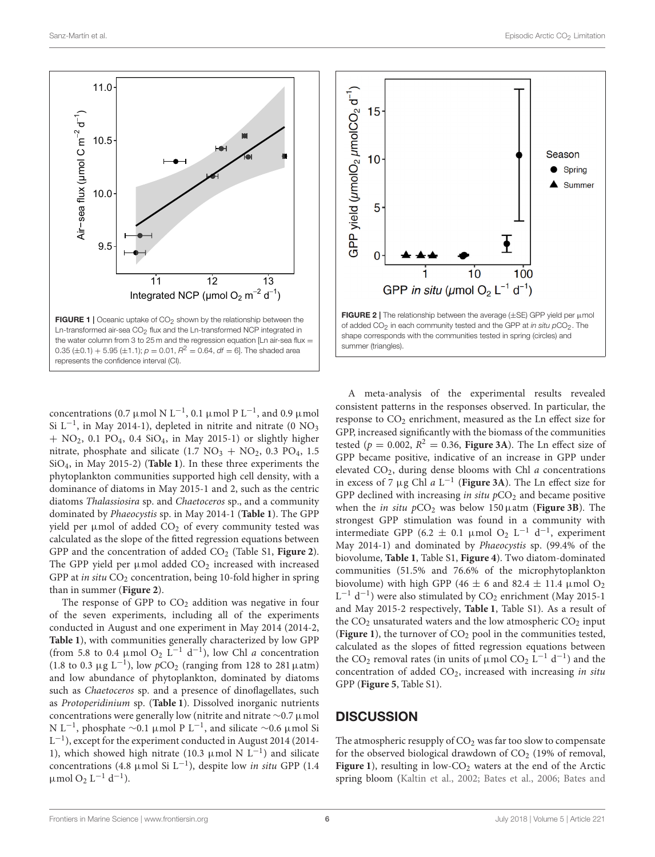

<span id="page-5-0"></span>concentrations (0.7 µmol N L<sup>-1</sup>, 0.1 µmol P L<sup>-1</sup>, and 0.9 µmol Si L<sup>-1</sup>, in May 2014-1), depleted in nitrite and nitrate (0 NO<sub>3</sub>  $+$  NO<sub>2</sub>, 0.1 PO<sub>4</sub>, 0.4 SiO<sub>4</sub>, in May 2015-1) or slightly higher nitrate, phosphate and silicate  $(1.7 \text{ NO}_3 + \text{NO}_2, 0.3 \text{ PO}_4, 1.5)$ SiO4, in May 2015-2) (**[Table 1](#page-4-0)**). In these three experiments the phytoplankton communities supported high cell density, with a dominance of diatoms in May 2015-1 and 2, such as the centric diatoms Thalassiosira sp. and Chaetoceros sp., and a community dominated by Phaeocystis sp. in May 2014-1 (**[Table 1](#page-4-0)**). The GPP yield per  $\mu$ mol of added CO<sub>2</sub> of every community tested was calculated as the slope of the fitted regression equations between GPP and the concentration of added CO<sub>2</sub> (Table S1, [Figure 2](#page-5-1)). The GPP yield per  $\mu$ mol added CO<sub>2</sub> increased with increased GPP at in situ  $CO<sub>2</sub>$  concentration, being 10-fold higher in spring than in summer (**[Figure 2](#page-5-1)**).

The response of GPP to  $CO<sub>2</sub>$  addition was negative in four of the seven experiments, including all of the experiments conducted in August and one experiment in May 2014 (2014-2, **[Table 1](#page-4-0)**), with communities generally characterized by low GPP (from 5.8 to 0.4 µmol O<sub>2</sub> L<sup>-1</sup> d<sup>-1</sup>), low Chl *a* concentration (1.8 to 0.3  $\mu$ g L<sup>-1</sup>), low pCO<sub>2</sub> (ranging from 128 to 281  $\mu$ atm) and low abundance of phytoplankton, dominated by diatoms such as Chaetoceros sp. and a presence of dinoflagellates, such as Protoperidinium sp. (**[Table 1](#page-4-0)**). Dissolved inorganic nutrients concentrations were generally low (nitrite and nitrate ∼0.7 µmol N L<sup>-1</sup>, phosphate ~0.1 µmol P L<sup>-1</sup>, and silicate ~0.6 µmol Si L<sup>-1</sup>), except for the experiment conducted in August 2014 (2014-1), which showed high nitrate (10.3  $\mu$ mol N L<sup>-1</sup>) and silicate concentrations (4.8 µmol Si L<sup>-1</sup>), despite low in situ GPP (1.4  $\mu$ mol O<sub>2</sub> L<sup>-1</sup> d<sup>-1</sup>).



<span id="page-5-1"></span>summer (triangles).

A meta-analysis of the experimental results revealed consistent patterns in the responses observed. In particular, the response to  $CO<sub>2</sub>$  enrichment, measured as the Ln effect size for GPP, increased significantly with the biomass of the communities tested ( $p = 0.002$ ,  $R^2 = 0.36$ , **[Figure 3A](#page-6-0)**). The Ln effect size of GPP became positive, indicative of an increase in GPP under elevated  $CO<sub>2</sub>$ , during dense blooms with Chl  $a$  concentrations in excess of 7  $\mu$ g Chl a L<sup>-1</sup> ([Figure 3A](#page-6-0)). The Ln effect size for GPP declined with increasing in situ  $pCO<sub>2</sub>$  and became positive when the *in situ*  $pCO<sub>2</sub>$  was below 150  $\mu$ atm (**[Figure 3B](#page-6-0)**). The strongest GPP stimulation was found in a community with intermediate GPP (6.2  $\pm$  0.1 µmol O<sub>2</sub> L<sup>-1</sup> d<sup>-1</sup>, experiment May 2014-1) and dominated by Phaeocystis sp. (99.4% of the biovolume, **[Table 1](#page-4-0)**, Table S1, **[Figure 4](#page-6-1)**). Two diatom-dominated communities (51.5% and 76.6% of the microphytoplankton biovolume) with high GPP (46  $\pm$  6 and 82.4  $\pm$  11.4 µmol O<sub>2</sub> L<sup>-1</sup> d<sup>-1</sup>) were also stimulated by CO<sub>2</sub> enrichment (May 2015-1 and May 2015-2 respectively, **[Table 1](#page-4-0)**, Table S1). As a result of the  $CO<sub>2</sub>$  unsaturated waters and the low atmospheric  $CO<sub>2</sub>$  input (**[Figure 1](#page-5-0)**), the turnover of  $CO<sub>2</sub>$  pool in the communities tested, calculated as the slopes of fitted regression equations between the CO<sub>2</sub> removal rates (in units of  $\mu$ mol CO<sub>2</sub> L<sup>-1</sup> d<sup>-1</sup>) and the concentration of added  $CO<sub>2</sub>$ , increased with increasing in situ GPP (**[Figure 5](#page-6-2)**, Table S1).

### **DISCUSSION**

The atmospheric resupply of  $CO<sub>2</sub>$  was far too slow to compensate for the observed biological drawdown of  $CO<sub>2</sub>$  (19% of removal, [Figure 1](#page-5-0)), resulting in low-CO<sub>2</sub> waters at the end of the Arctic spring bloom [\(Kaltin et al., 2002;](#page-9-27) [Bates et al., 2006;](#page-8-8) Bates and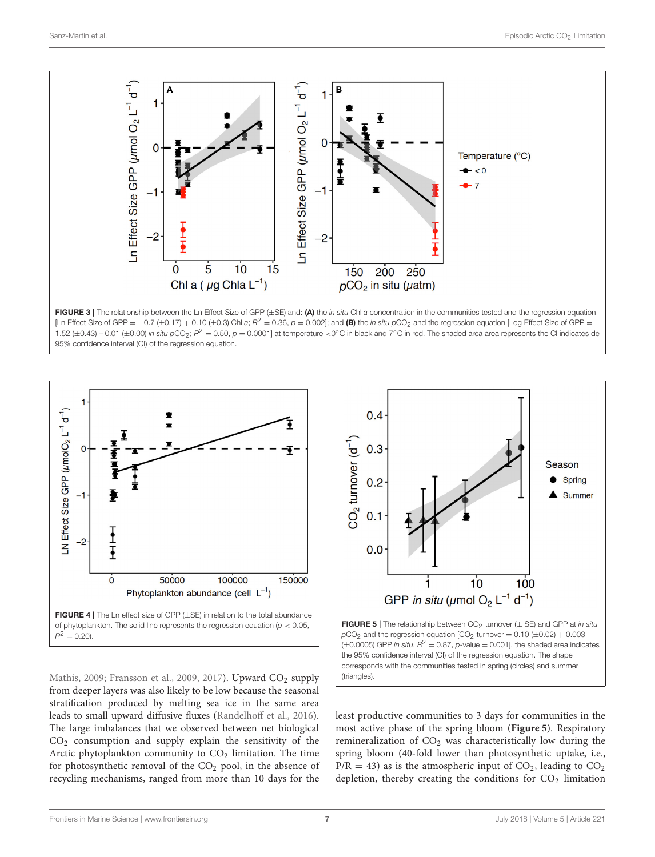

<span id="page-6-0"></span>FIGURE 3 | The relationship between the Ln Effect Size of GPP (±SE) and: (A) the in situ Chl a concentration in the communities tested and the regression equation [Ln Effect Size of GPP =  $-0.7$  (±0.17) + 0.10 (±0.3) Chl a;  $R^2 = 0.36$ ,  $p = 0.002$ ]; and (B) the in situ pCO<sub>2</sub> and the regression equation [Log Effect Size of GPP = 1.52 (±0.43) – 0.01 (±0.00) in situ pCO<sub>2</sub>;  $R^2 = 0.50$ ,  $p = 0.0001$ ] at temperature <0°C in black and 7°C in red. The shaded area area represents the CI indicates de 95% confidence interval (CI) of the regression equation.

![](_page_6_Figure_4.jpeg)

<span id="page-6-1"></span>Mathis, [2009;](#page-8-1) [Fransson et al., 2009,](#page-9-0) [2017\)](#page-9-7). Upward CO<sub>2</sub> supply from deeper layers was also likely to be low because the seasonal stratification produced by melting sea ice in the same area leads to small upward diffusive fluxes [\(Randelhoff et al., 2016\)](#page-9-28). The large imbalances that we observed between net biological CO<sup>2</sup> consumption and supply explain the sensitivity of the Arctic phytoplankton community to  $CO<sub>2</sub>$  limitation. The time for photosynthetic removal of the CO<sub>2</sub> pool, in the absence of recycling mechanisms, ranged from more than 10 days for the

![](_page_6_Figure_6.jpeg)

<span id="page-6-2"></span>least productive communities to 3 days for communities in the most active phase of the spring bloom (**[Figure 5](#page-6-2)**). Respiratory remineralization of  $CO<sub>2</sub>$  was characteristically low during the spring bloom (40-fold lower than photosynthetic uptake, i.e.,  $P/R = 43$ ) as is the atmospheric input of  $CO<sub>2</sub>$ , leading to  $CO<sub>2</sub>$ depletion, thereby creating the conditions for  $CO<sub>2</sub>$  limitation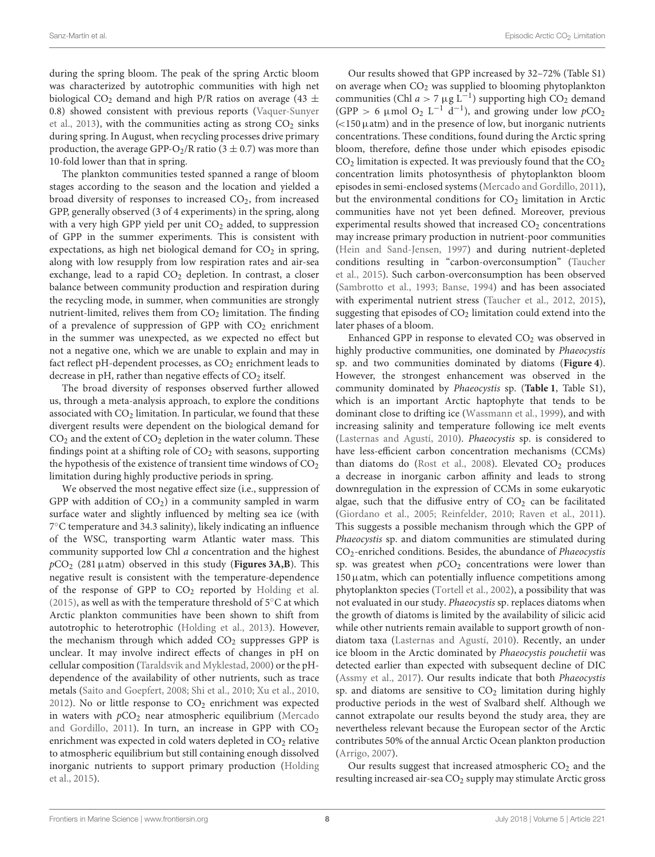during the spring bloom. The peak of the spring Arctic bloom was characterized by autotrophic communities with high net biological CO<sub>2</sub> demand and high P/R ratios on average (43  $\pm$ 0.8) showed consistent with previous reports (Vaquer-Sunyer et al., [2013\)](#page-10-1), with the communities acting as strong  $CO<sub>2</sub>$  sinks during spring. In August, when recycling processes drive primary production, the average GPP-O<sub>2</sub>/R ratio (3  $\pm$  0.7) was more than 10-fold lower than that in spring.

The plankton communities tested spanned a range of bloom stages according to the season and the location and yielded a broad diversity of responses to increased  $CO<sub>2</sub>$ , from increased GPP, generally observed (3 of 4 experiments) in the spring, along with a very high GPP yield per unit CO<sub>2</sub> added, to suppression of GPP in the summer experiments. This is consistent with expectations, as high net biological demand for  $CO<sub>2</sub>$  in spring, along with low resupply from low respiration rates and air-sea exchange, lead to a rapid  $CO<sub>2</sub>$  depletion. In contrast, a closer balance between community production and respiration during the recycling mode, in summer, when communities are strongly nutrient-limited, relives them from  $CO<sub>2</sub>$  limitation. The finding of a prevalence of suppression of GPP with  $CO<sub>2</sub>$  enrichment in the summer was unexpected, as we expected no effect but not a negative one, which we are unable to explain and may in fact reflect pH-dependent processes, as CO<sub>2</sub> enrichment leads to decrease in pH, rather than negative effects of  $CO<sub>2</sub>$  itself.

The broad diversity of responses observed further allowed us, through a meta-analysis approach, to explore the conditions associated with  $CO<sub>2</sub>$  limitation. In particular, we found that these divergent results were dependent on the biological demand for  $CO<sub>2</sub>$  and the extent of  $CO<sub>2</sub>$  depletion in the water column. These findings point at a shifting role of  $CO<sub>2</sub>$  with seasons, supporting the hypothesis of the existence of transient time windows of  $CO<sub>2</sub>$ limitation during highly productive periods in spring.

We observed the most negative effect size (i.e., suppression of GPP with addition of  $CO<sub>2</sub>$ ) in a community sampled in warm surface water and slightly influenced by melting sea ice (with 7 ◦C temperature and 34.3 salinity), likely indicating an influence of the WSC, transporting warm Atlantic water mass. This community supported low Chl a concentration and the highest  $pCO<sub>2</sub>$  (281  $\mu$ atm) observed in this study (**[Figures 3A,B](#page-6-0)**). This negative result is consistent with the temperature-dependence of the response of GPP to  $CO<sub>2</sub>$  reported by [Holding et al.](#page-9-10) [\(2015\)](#page-9-10), as well as with the temperature threshold of  $5^{\circ}$ C at which Arctic plankton communities have been shown to shift from autotrophic to heterotrophic [\(Holding et al., 2013\)](#page-9-29). However, the mechanism through which added  $CO<sub>2</sub>$  suppresses GPP is unclear. It may involve indirect effects of changes in pH on cellular composition [\(Taraldsvik and Myklestad, 2000\)](#page-10-14) or the pHdependence of the availability of other nutrients, such as trace metals [\(Saito and Goepfert, 2008;](#page-10-15) [Shi et al., 2010;](#page-10-16) [Xu et al., 2010,](#page-10-17) [2012\)](#page-10-18). No or little response to  $CO<sub>2</sub>$  enrichment was expected in waters with  $pCO<sub>2</sub>$  near atmospheric equilibrium (Mercado and Gordillo, [2011\)](#page-9-8). In turn, an increase in GPP with  $CO<sub>2</sub>$ enrichment was expected in cold waters depleted in  $CO<sub>2</sub>$  relative to atmospheric equilibrium but still containing enough dissolved inorganic nutrients to support primary production (Holding et al., [2015\)](#page-9-10).

Our results showed that GPP increased by 32–72% (Table S1) on average when  $CO<sub>2</sub>$  was supplied to blooming phytoplankton communities (Chl  $a > 7 \mu g L^{-1}$ ) supporting high CO<sub>2</sub> demand (GPP > 6  $\mu$ mol O<sub>2</sub> L<sup>-1</sup> d<sup>-1</sup>), and growing under low  $pCO_2$  $\approx$  150  $\mu$ atm) and in the presence of low, but inorganic nutrients concentrations. These conditions, found during the Arctic spring bloom, therefore, define those under which episodes episodic  $CO<sub>2</sub>$  limitation is expected. It was previously found that the  $CO<sub>2</sub>$ concentration limits photosynthesis of phytoplankton bloom episodes in semi-enclosed systems [\(Mercado and Gordillo, 2011\)](#page-9-8), but the environmental conditions for  $CO<sub>2</sub>$  limitation in Arctic communities have not yet been defined. Moreover, previous experimental results showed that increased CO<sub>2</sub> concentrations may increase primary production in nutrient-poor communities [\(Hein and Sand-Jensen, 1997\)](#page-9-11) and during nutrient-depleted conditions resulting in "carbon-overconsumption" (Taucher et al., [2015\)](#page-10-19). Such carbon-overconsumption has been observed [\(Sambrotto et al., 1993;](#page-10-20) [Banse, 1994\)](#page-8-9) and has been associated with experimental nutrient stress [\(Taucher et al., 2012,](#page-10-21) [2015\)](#page-10-19), suggesting that episodes of  $CO<sub>2</sub>$  limitation could extend into the later phases of a bloom.

Enhanced GPP in response to elevated  $CO<sub>2</sub>$  was observed in highly productive communities, one dominated by *Phaeocystis* sp. and two communities dominated by diatoms (**[Figure 4](#page-6-1)**). However, the strongest enhancement was observed in the community dominated by Phaeocystis sp. (**[Table 1](#page-4-0)**, Table S1), which is an important Arctic haptophyte that tends to be dominant close to drifting ice [\(Wassmann et al., 1999\)](#page-10-5), and with increasing salinity and temperature following ice melt events [\(Lasternas and Agustí, 2010\)](#page-9-30). Phaeocystis sp. is considered to have less-efficient carbon concentration mechanisms (CCMs) than diatoms do [\(Rost et al., 2008\)](#page-10-22). Elevated  $CO<sub>2</sub>$  produces a decrease in inorganic carbon affinity and leads to strong downregulation in the expression of CCMs in some eukaryotic algae, such that the diffusive entry of  $CO<sub>2</sub>$  can be facilitated [\(Giordano et al., 2005;](#page-9-31) [Reinfelder, 2010;](#page-10-23) [Raven et al., 2011\)](#page-9-32). This suggests a possible mechanism through which the GPP of Phaeocystis sp. and diatom communities are stimulated during CO2-enriched conditions. Besides, the abundance of Phaeocystis sp. was greatest when  $pCO<sub>2</sub>$  concentrations were lower than  $150 \mu$ atm, which can potentially influence competitions among phytoplankton species [\(Tortell et al., 2002\)](#page-10-24), a possibility that was not evaluated in our study. Phaeocystis sp. replaces diatoms when the growth of diatoms is limited by the availability of silicic acid while other nutrients remain available to support growth of nondiatom taxa [\(Lasternas and Agustí, 2010\)](#page-9-30). Recently, an under ice bloom in the Arctic dominated by Phaeocystis pouchetii was detected earlier than expected with subsequent decline of DIC [\(Assmy et al., 2017\)](#page-8-10). Our results indicate that both Phaeocystis sp. and diatoms are sensitive to  $CO<sub>2</sub>$  limitation during highly productive periods in the west of Svalbard shelf. Although we cannot extrapolate our results beyond the study area, they are nevertheless relevant because the European sector of the Arctic contributes 50% of the annual Arctic Ocean plankton production [\(Arrigo, 2007\)](#page-8-11).

Our results suggest that increased atmospheric  $CO<sub>2</sub>$  and the resulting increased air-sea CO<sub>2</sub> supply may stimulate Arctic gross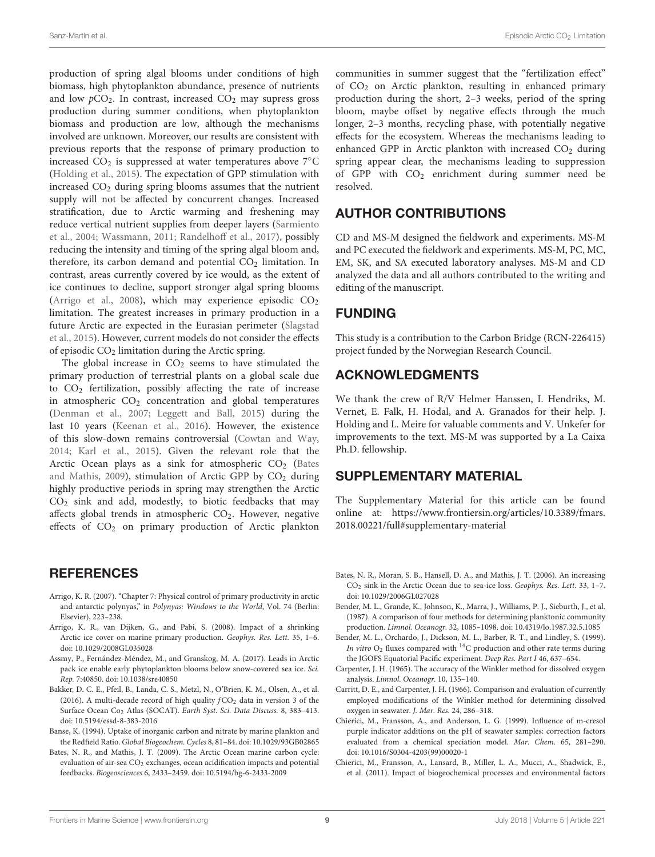production of spring algal blooms under conditions of high biomass, high phytoplankton abundance, presence of nutrients and low  $pCO<sub>2</sub>$ . In contrast, increased  $CO<sub>2</sub>$  may supress gross production during summer conditions, when phytoplankton biomass and production are low, although the mechanisms involved are unknown. Moreover, our results are consistent with previous reports that the response of primary production to increased  $CO<sub>2</sub>$  is suppressed at water temperatures above  $7^{\circ}$ C [\(Holding et al., 2015\)](#page-9-10). The expectation of GPP stimulation with increased  $CO<sub>2</sub>$  during spring blooms assumes that the nutrient supply will not be affected by concurrent changes. Increased stratification, due to Arctic warming and freshening may reduce vertical nutrient supplies from deeper layers (Sarmiento et al., [2004;](#page-10-25) [Wassmann, 2011;](#page-10-26) [Randelhoff et al., 2017\)](#page-9-33), possibly reducing the intensity and timing of the spring algal bloom and, therefore, its carbon demand and potential  $CO<sub>2</sub>$  limitation. In contrast, areas currently covered by ice would, as the extent of ice continues to decline, support stronger algal spring blooms [\(Arrigo et al., 2008\)](#page-8-12), which may experience episodic  $CO<sub>2</sub>$ limitation. The greatest increases in primary production in a future Arctic are expected in the Eurasian perimeter (Slagstad et al., [2015\)](#page-10-27). However, current models do not consider the effects of episodic  $CO<sub>2</sub>$  limitation during the Arctic spring.

The global increase in  $CO<sub>2</sub>$  seems to have stimulated the primary production of terrestrial plants on a global scale due to  $CO<sub>2</sub>$  fertilization, possibly affecting the rate of increase in atmospheric  $CO<sub>2</sub>$  concentration and global temperatures [\(Denman et al., 2007;](#page-9-34) [Leggett and Ball, 2015\)](#page-9-35) during the last 10 years [\(Keenan et al., 2016\)](#page-9-36). However, the existence of this slow-down remains controversial [\(Cowtan and Way,](#page-9-37) [2014;](#page-9-37) [Karl et al., 2015\)](#page-9-38). Given the relevant role that the Arctic Ocean plays as a sink for atmospheric  $CO<sub>2</sub>$  (Bates and Mathis, [2009\)](#page-8-1), stimulation of Arctic GPP by  $CO<sub>2</sub>$  during highly productive periods in spring may strengthen the Arctic  $CO<sub>2</sub>$  sink and add, modestly, to biotic feedbacks that may affects global trends in atmospheric  $CO<sub>2</sub>$ . However, negative effects of  $CO<sub>2</sub>$  on primary production of Arctic plankton

### **REFERENCES**

- <span id="page-8-11"></span>Arrigo, K. R. (2007). "Chapter 7: Physical control of primary productivity in arctic and antarctic polynyas," in Polynyas: Windows to the World, Vol. 74 (Berlin: Elsevier), 223–238.
- <span id="page-8-12"></span>Arrigo, K. R., van Dijken, G., and Pabi, S. (2008). Impact of a shrinking Arctic ice cover on marine primary production. Geophys. Res. Lett. 35, 1–6. doi: [10.1029/2008GL035028](https://doi.org/10.1029/2008GL035028)
- <span id="page-8-10"></span>Assmy, P., Fernández-Méndez, M., and Granskog, M. A. (2017). Leads in Arctic pack ice enable early phytoplankton blooms below snow-covered sea ice. Sci. Rep. 7:40850. doi: [10.1038/sre40850](https://doi.org/10.1038/srep40850)
- <span id="page-8-7"></span>Bakker, D. C. E., Pfeil, B., Landa, C. S., Metzl, N., O'Brien, K. M., Olsen, A., et al. (2016). A multi-decade record of high quality  $fCO<sub>2</sub>$  data in version 3 of the Surface Ocean Co<sup>2</sup> Atlas (SOCAT). Earth Syst. Sci. Data Discuss. 8, 383–413. doi: [10.5194/essd-8-383-2016](https://doi.org/10.5194/essd-8-383-2016)
- <span id="page-8-9"></span>Banse, K. (1994). Uptake of inorganic carbon and nitrate by marine plankton and the Redfield Ratio. Global Biogeochem. Cycles 8, 81–84. doi: [10.1029/93GB02865](https://doi.org/10.1029/93GB02865)
- <span id="page-8-1"></span>Bates, N. R., and Mathis, J. T. (2009). The Arctic Ocean marine carbon cycle: evaluation of air-sea CO<sub>2</sub> exchanges, ocean acidification impacts and potential feedbacks. Biogeosciences 6, 2433–2459. doi: [10.5194/bg-6-2433-2009](https://doi.org/10.5194/bg-6-2433-2009)

communities in summer suggest that the "fertilization effect" of CO<sup>2</sup> on Arctic plankton, resulting in enhanced primary production during the short, 2–3 weeks, period of the spring bloom, maybe offset by negative effects through the much longer, 2–3 months, recycling phase, with potentially negative effects for the ecosystem. Whereas the mechanisms leading to enhanced GPP in Arctic plankton with increased  $CO<sub>2</sub>$  during spring appear clear, the mechanisms leading to suppression of GPP with  $CO<sub>2</sub>$  enrichment during summer need be resolved.

## AUTHOR CONTRIBUTIONS

CD and MS-M designed the fieldwork and experiments. MS-M and PC executed the fieldwork and experiments. MS-M, PC, MC, EM, SK, and SA executed laboratory analyses. MS-M and CD analyzed the data and all authors contributed to the writing and editing of the manuscript.

# FUNDING

This study is a contribution to the Carbon Bridge (RCN-226415) project funded by the Norwegian Research Council.

### ACKNOWLEDGMENTS

We thank the crew of R/V Helmer Hanssen, I. Hendriks, M. Vernet, E. Falk, H. Hodal, and A. Granados for their help. J. Holding and L. Meire for valuable comments and V. Unkefer for improvements to the text. MS-M was supported by a La Caixa Ph.D. fellowship.

### SUPPLEMENTARY MATERIAL

The Supplementary Material for this article can be found [online at: https://www.frontiersin.org/articles/10.3389/fmars.](https://www.frontiersin.org/articles/10.3389/fmars.2018.00221/full#supplementary-material) 2018.00221/full#supplementary-material

- <span id="page-8-8"></span>Bates, N. R., Moran, S. B., Hansell, D. A., and Mathis, J. T. (2006). An increasing CO<sup>2</sup> sink in the Arctic Ocean due to sea-ice loss. Geophys. Res. Lett. 33, 1–7. doi: [10.1029/2006GL027028](https://doi.org/10.1029/2006GL027028)
- <span id="page-8-2"></span>Bender, M. L., Grande, K., Johnson, K., Marra, J., Williams, P. J., Sieburth, J., et al. (1987). A comparison of four methods for determining planktonic community production. Limnol. Oceanogr. 32, 1085–1098. doi: [10.4319/lo.1987.32.5.1085](https://doi.org/10.4319/lo.1987.32.5.1085)
- <span id="page-8-3"></span>Bender, M. L., Orchardo, J., Dickson, M. L., Barber, R. T., and Lindley, S. (1999). In vitro  $O_2$  fluxes compared with  $^{14}C$  production and other rate terms during the JGOFS Equatorial Pacific experiment. Deep Res. Part I 46, 637–654.
- <span id="page-8-4"></span>Carpenter, J. H. (1965). The accuracy of the Winkler method for dissolved oxygen analysis. Limnol. Oceanogr. 10, 135–140.
- <span id="page-8-5"></span>Carritt, D. E., and Carpenter, J. H. (1966). Comparison and evaluation of currently employed modifications of the Winkler method for determining dissolved oxygen in seawater. J. Mar. Res. 24, 286–318.
- <span id="page-8-6"></span>Chierici, M., Fransson, A., and Anderson, L. G. (1999). Influence of m-cresol purple indicator additions on the pH of seawater samples: correction factors evaluated from a chemical speciation model. Mar. Chem. 65, 281–290. doi: [10.1016/S0304-4203\(99\)00020-1](https://doi.org/10.1016/S0304-4203(99)00020-1)
- <span id="page-8-0"></span>Chierici, M., Fransson, A., Lansard, B., Miller, L. A., Mucci, A., Shadwick, E., et al. (2011). Impact of biogeochemical processes and environmental factors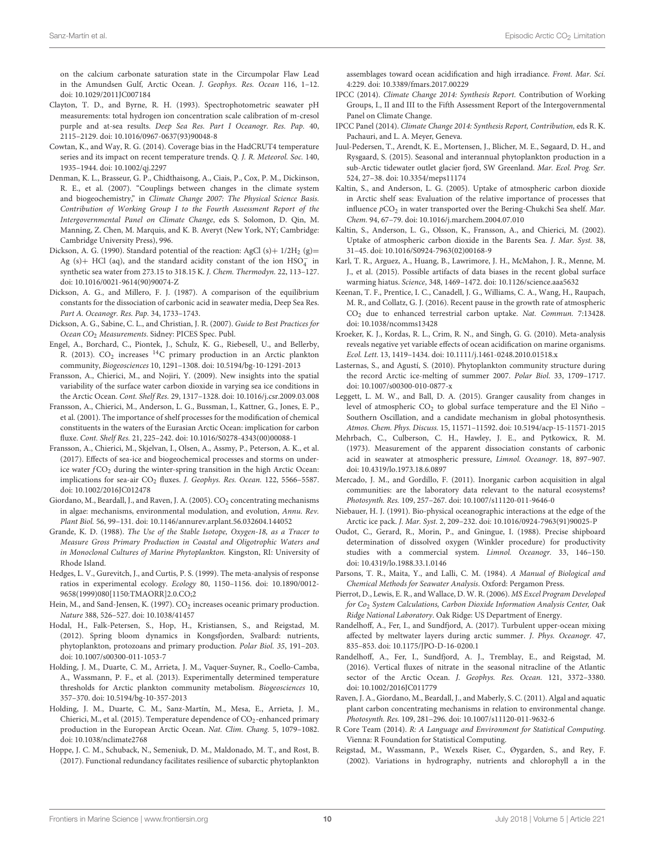on the calcium carbonate saturation state in the Circumpolar Flaw Lead in the Amundsen Gulf, Arctic Ocean. J. Geophys. Res. Ocean 116, 1–12. doi: [10.1029/2011JC007184](https://doi.org/10.1029/2011JC007184)

<span id="page-9-17"></span>Clayton, T. D., and Byrne, R. H. (1993). Spectrophotometric seawater pH measurements: total hydrogen ion concentration scale calibration of m-cresol purple and at-sea results. Deep Sea Res. Part I Oceanogr. Res. Pap. 40, 2115–2129. doi: [10.1016/0967-0637\(93\)90048-8](https://doi.org/10.1016/0967-0637(93)90048-8)

<span id="page-9-37"></span>Cowtan, K., and Way, R. G. (2014). Coverage bias in the HadCRUT4 temperature series and its impact on recent temperature trends. Q. J. R. Meteorol. Soc. 140, 1935–1944. doi: [10.1002/qj.2297](https://doi.org/10.1002/qj.2297)

- <span id="page-9-34"></span>Denman, K. L., Brasseur, G. P., Chidthaisong, A., Ciais, P., Cox, P. M., Dickinson, R. E., et al. (2007). "Couplings between changes in the climate system and biogeochemistry," in Climate Change 2007: The Physical Science Basis. Contribution of Working Group I to the Fourth Assessment Report of the Intergovernmental Panel on Climate Change, eds S. Solomon, D. Qin, M. Manning, Z. Chen, M. Marquis, and K. B. Averyt (New York, NY; Cambridge: Cambridge University Press), 996.
- <span id="page-9-21"></span>Dickson, A. G. (1990). Standard potential of the reaction: AgCl (s) +  $1/2H_2$  (g) = Ag (s)+ HCl (aq), and the standard acidity constant of the ion  $HSO_4^-$  in synthetic sea water from 273.15 to 318.15 K. J. Chem. Thermodyn. 22, 113–127. doi: [10.1016/0021-9614\(90\)90074-Z](https://doi.org/10.1016/0021-9614(90)90074-Z)
- <span id="page-9-20"></span>Dickson, A. G., and Millero, F. J. (1987). A comparison of the equilibrium constants for the dissociation of carbonic acid in seawater media, Deep Sea Res. Part A. Oceanogr. Res. Pap. 34, 1733–1743.
- <span id="page-9-16"></span>Dickson, A. G., Sabine, C. L., and Christian, J. R. (2007). Guide to Best Practices for Ocean CO<sub>2</sub> Measurements. Sidney: PICES Spec. Publ.
- <span id="page-9-9"></span>Engel, A., Borchard, C., Piontek, J., Schulz, K. G., Riebesell, U., and Bellerby, R. (2013). CO<sub>2</sub> increases <sup>14</sup>C primary production in an Arctic plankton community, Biogeosciences 10, 1291–1308. doi: [10.5194/bg-10-1291-2013](https://doi.org/10.5194/bg-10-1291-2013)
- <span id="page-9-0"></span>Fransson, A., Chierici, M., and Nojiri, Y. (2009). New insights into the spatial variability of the surface water carbon dioxide in varying sea ice conditions in the Arctic Ocean. Cont. Shelf Res. 29, 1317–1328. doi: [10.1016/j.csr.2009.03.008](https://doi.org/10.1016/j.csr.2009.03.008)
- <span id="page-9-1"></span>Fransson, A., Chierici, M., Anderson, L. G., Bussman, I., Kattner, G., Jones, E. P., et al. (2001). The importance of shelf processes for the modification of chemical constituents in the waters of the Eurasian Arctic Ocean: implication for carbon fluxe. Cont. Shelf Res. 21, 225–242. doi: [10.1016/S0278-4343\(00\)00088-1](https://doi.org/10.1016/S0278-4343(00)00088-1)
- <span id="page-9-7"></span>Fransson, A., Chierici, M., Skjelvan, I., Olsen, A., Assmy, P., Peterson, A. K., et al. (2017). Effects of sea-ice and biogeochemical processes and storms on underice water  $fCO<sub>2</sub>$  during the winter-spring transition in the high Arctic Ocean: implications for sea-air CO<sub>2</sub> fluxes. J. Geophys. Res. Ocean. 122, 5566-5587. doi: [10.1002/2016JC012478](https://doi.org/10.1002/2016JC012478)
- <span id="page-9-31"></span>Giordano, M., Beardall, J., and Raven, J. A. (2005). CO<sub>2</sub> concentrating mechanisms in algae: mechanisms, environmental modulation, and evolution, Annu. Rev. Plant Biol. 56, 99–131. doi: [10.1146/annurev.arplant.56.032604.144052](https://doi.org/10.1146/annurev.arplant.56.032604.144052)
- <span id="page-9-14"></span>Grande, K. D. (1988). The Use of the Stable Isotope, Oxygen-18, as a Tracer to Measure Gross Primary Production in Coastal and Oligotrophic Waters and in Monoclonal Cultures of Marine Phytoplankton. Kingston, RI: University of Rhode Island.
- <span id="page-9-23"></span>Hedges, L. V., Gurevitch, J., and Curtis, P. S. (1999). The meta-analysis of response ratios in experimental ecology. Ecology 80, 1150–1156. doi: 10.1890/0012- [9658\(1999\)080\[1150:TMAORR\]2.0.CO;2](https://doi.org/10.1890/0012-9658(1999)080[1150:TMAORR]2.0.CO;2)
- <span id="page-9-11"></span>Hein, M., and Sand-Jensen, K. (1997). CO<sub>2</sub> increases oceanic primary production. Nature 388, 526–527. doi: [10.1038/41457](https://doi.org/10.1038/41457)
- <span id="page-9-5"></span>Hodal, H., Falk-Petersen, S., Hop, H., Kristiansen, S., and Reigstad, M. (2012). Spring bloom dynamics in Kongsfjorden, Svalbard: nutrients, phytoplankton, protozoans and primary production. Polar Biol. 35, 191–203. doi: [10.1007/s00300-011-1053-7](https://doi.org/10.1007/s00300-011-1053-7)
- <span id="page-9-29"></span>Holding, J. M., Duarte, C. M., Arrieta, J. M., Vaquer-Suyner, R., Coello-Camba, A., Wassmann, P. F., et al. (2013). Experimentally determined temperature thresholds for Arctic plankton community metabolism. Biogeosciences 10, 357–370. doi: [10.5194/bg-10-357-2013](https://doi.org/10.5194/bg-10-357-2013)
- <span id="page-9-10"></span>Holding, J. M., Duarte, C. M., Sanz-Martín, M., Mesa, E., Arrieta, J. M., Chierici, M., et al. (2015). Temperature dependence of  $CO_2$ -enhanced primary production in the European Arctic Ocean. Nat. Clim. Chang. 5, 1079–1082. doi: [10.1038/nclimate2768](https://doi.org/10.1038/nclimate2768)
- <span id="page-9-12"></span>Hoppe, J. C. M., Schuback, N., Semeniuk, D. M., Maldonado, M. T., and Rost, B. (2017). Functional redundancy facilitates resilience of subarctic phytoplankton

assemblages toward ocean acidification and high irradiance. Front. Mar. Sci. 4:229. doi: [10.3389/fmars.2017.00229](https://doi.org/10.3389/fmars.2017.00229)

- <span id="page-9-26"></span>IPCC (2014). Climate Change 2014: Synthesis Report. Contribution of Working Groups, I., II and III to the Fifth Assessment Report of the Intergovernmental Panel on Climate Change.
- <span id="page-9-13"></span>IPCC Panel (2014). Climate Change 2014: Synthesis Report, Contribution, eds R. K. Pachauri, and L. A. Meyer, Geneva.
- <span id="page-9-6"></span>Juul-Pedersen, T., Arendt, K. E., Mortensen, J., Blicher, M. E., Søgaard, D. H., and Rysgaard, S. (2015). Seasonal and interannual phytoplankton production in a sub-Arctic tidewater outlet glacier fjord, SW Greenland. Mar. Ecol. Prog. Ser. 524, 27–38. doi: [10.3354/meps11174](https://doi.org/10.3354/meps11174)
- <span id="page-9-2"></span>Kaltin, S., and Anderson, L. G. (2005). Uptake of atmospheric carbon dioxide in Arctic shelf seas: Evaluation of the relative importance of processes that influence  $pCO_2$  in water transported over the Bering-Chukchi Sea shelf. Mar. Chem. 94, 67–79. doi: [10.1016/j.marchem.2004.07.010](https://doi.org/10.1016/j.marchem.2004.07.010)
- <span id="page-9-27"></span>Kaltin, S., Anderson, L. G., Olsson, K., Fransson, A., and Chierici, M. (2002). Uptake of atmospheric carbon dioxide in the Barents Sea. J. Mar. Syst. 38, 31–45. doi: [10.1016/S0924-7963\(02\)00168-9](https://doi.org/10.1016/S0924-7963(02)00168-9)
- <span id="page-9-38"></span>Karl, T. R., Arguez, A., Huang, B., Lawrimore, J. H., McMahon, J. R., Menne, M. J., et al. (2015). Possible artifacts of data biases in the recent global surface warming hiatus. Science, 348, 1469–1472. doi: [10.1126/science.aaa5632](https://doi.org/10.1126/science.aaa5632)
- <span id="page-9-36"></span>Keenan, T. F., Prentice, I. C., Canadell, J. G., Williams, C. A., Wang, H., Raupach, M. R., and Collatz, G. J. (2016). Recent pause in the growth rate of atmospheric CO<sup>2</sup> due to enhanced terrestrial carbon uptake. Nat. Commun. 7:13428. doi: [10.1038/ncomms13428](https://doi.org/10.1038/ncomms13428)
- <span id="page-9-24"></span>Kroeker, K. J., Kordas, R. L., Crim, R. N., and Singh, G. G. (2010). Meta-analysis reveals negative yet variable effects of ocean acidification on marine organisms. Ecol. Lett. 13, 1419–1434. doi: [10.1111/j.1461-0248.2010.01518.x](https://doi.org/10.1111/j.1461-0248.2010.01518.x)
- <span id="page-9-30"></span>Lasternas, S., and Agustí, S. (2010). Phytoplankton community structure during the record Arctic ice-melting of summer 2007. Polar Biol. 33, 1709–1717. doi: [10.1007/s00300-010-0877-x](https://doi.org/10.1007/s00300-010-0877-x)
- <span id="page-9-35"></span>Leggett, L. M. W., and Ball, D. A. (2015). Granger causality from changes in level of atmospheric CO<sub>2</sub> to global surface temperature and the El Niño -Southern Oscillation, and a candidate mechanism in global photosynthesis. Atmos. Chem. Phys. Discuss. 15, 11571–11592. doi: [10.5194/acp-15-11571-2015](https://doi.org/10.5194/acp-15-11571-2015)
- <span id="page-9-19"></span>Mehrbach, C., Culberson, C. H., Hawley, J. E., and Pytkowicx, R. M. (1973). Measurement of the apparent dissociation constants of carbonic acid in seawater at atmospheric pressure, Limnol. Oceanogr. 18, 897–907. doi: [10.4319/lo.1973.18.6.0897](https://doi.org/10.4319/lo.1973.18.6.0897)
- <span id="page-9-8"></span>Mercado, J. M., and Gordillo, F. (2011). Inorganic carbon acquisition in algal communities: are the laboratory data relevant to the natural ecosystems? Photosynth. Res. 109, 257–267. doi: [10.1007/s11120-011-9646-0](https://doi.org/10.1007/s11120-011-9646-0)
- <span id="page-9-3"></span>Niebauer, H. J. (1991). Bio-physical oceanographic interactions at the edge of the Arctic ice pack. J. Mar. Syst. 2, 209–232. doi: [10.1016/0924-7963\(91\)90025-P](https://doi.org/10.1016/0924-7963(91)90025-P)
- <span id="page-9-15"></span>Oudot, C., Gerard, R., Morin, P., and Gningue, I. (1988). Precise shipboard determination of dissolved oxygen (Winkler procedure) for productivity studies with a commercial system. Limnol. Oceanogr. 33, 146–150. doi: [10.4319/lo.1988.33.1.0146](https://doi.org/10.4319/lo.1988.33.1.0146)
- <span id="page-9-22"></span>Parsons, T. R., Maita, Y., and Lalli, C. M. (1984). A Manual of Biological and Chemical Methods for Seawater Analysis. Oxford: Pergamon Press.
- <span id="page-9-18"></span>Pierrot, D., Lewis, E. R., and Wallace, D. W. R. (2006). MS Excel Program Developed for Co2 System Calculations, Carbon Dioxide Information Analysis Center, Oak Ridge National Laboratory. Oak Ridge: US Department of Energy.
- <span id="page-9-33"></span>Randelhoff, A., Fer, I., and Sundfjord, A. (2017). Turbulent upper-ocean mixing affected by meltwater layers during arctic summer. J. Phys. Oceanogr. 47, 835–853. doi: [10.1175/JPO-D-16-0200.1](https://doi.org/10.1175/JPO-D-16-0200.1)
- <span id="page-9-28"></span>Randelhoff, A., Fer, I., Sundfjord, A. J., Tremblay, E., and Reigstad, M. (2016). Vertical fluxes of nitrate in the seasonal nitracline of the Atlantic sector of the Arctic Ocean. J. Geophys. Res. Ocean. 121, 3372–3380. doi: [10.1002/2016JC011779](https://doi.org/10.1002/2016JC011779)
- <span id="page-9-32"></span>Raven, J. A., Giordano, M., Beardall, J., and Maberly, S. C. (2011). Algal and aquatic plant carbon concentrating mechanisms in relation to environmental change. Photosynth. Res. 109, 281–296. doi: [10.1007/s11120-011-9632-6](https://doi.org/10.1007/s11120-011-9632-6)
- <span id="page-9-25"></span>R Core Team (2014). R: A Language and Environment for Statistical Computing. Vienna: R Foundation for Statistical Computing.
- <span id="page-9-4"></span>Reigstad, M., Wassmann, P., Wexels Riser, C., Øygarden, S., and Rey, F. (2002). Variations in hydrography, nutrients and chlorophyll a in the